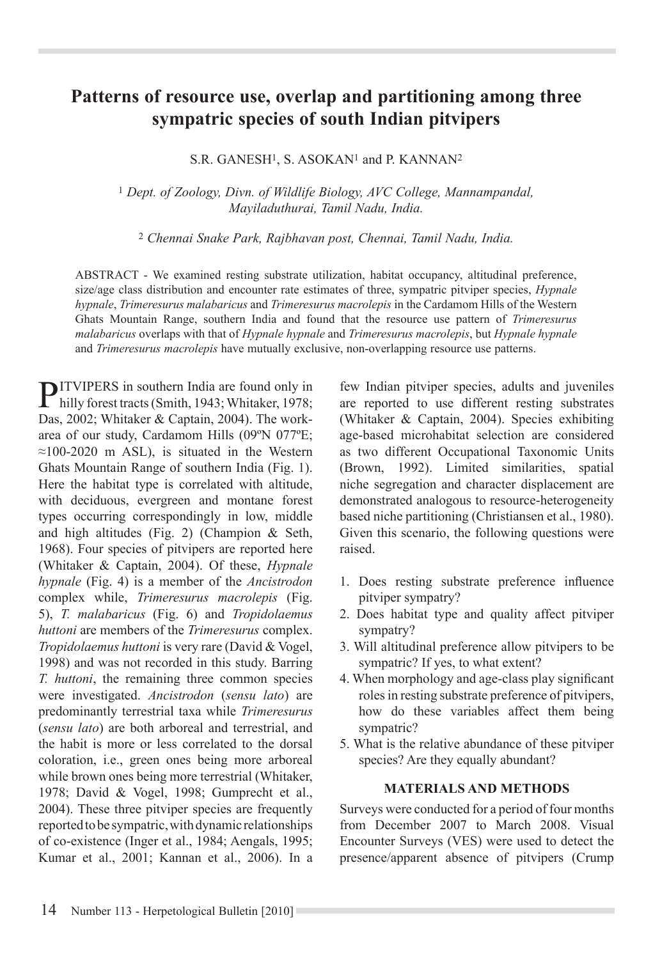# **Patterns of resource use, overlap and partitioning among three sympatric species of south Indian pitvipers**

S.R. GANESH1, S. ASOKAN1 and P. KANNAN2

<sup>1</sup> *Dept. of Zoology, Divn. of Wildlife Biology, AVC College, Mannampandal, Mayiladuthurai, Tamil Nadu, India.* 

<sup>2</sup> *Chennai Snake Park, Rajbhavan post, Chennai, Tamil Nadu, India.* 

ABSTRACT - We examined resting substrate utilization, habitat occupancy, altitudinal preference, size/age class distribution and encounter rate estimates of three, sympatric pitviper species, *Hypnale hypnale*, *Trimeresurus malabaricus* and *Trimeresurus macrolepis* in the Cardamom Hills of the Western Ghats Mountain Range, southern India and found that the resource use pattern of *Trimeresurus malabaricus* overlaps with that of *Hypnale hypnale* and *Trimeresurus macrolepis*, but *Hypnale hypnale* and *Trimeresurus macrolepis* have mutually exclusive, non-overlapping resource use patterns.

**PITVIPERS** in southern India are found only in hilly forest tracts (Smith, 1943; Whitaker, 1978; Das, 2002; Whitaker & Captain, 2004). The workarea of our study, Cardamom Hills  $(09°N) 077°E$ ;  $\approx$ 100-2020 m ASL), is situated in the Western Ghats Mountain Range of southern India (Fig. 1). Here the habitat type is correlated with altitude, with deciduous, evergreen and montane forest types occurring correspondingly in low, middle and high altitudes (Fig. 2) (Champion & Seth, 1968). Four species of pityipers are reported here (Whitaker & Captain, 2004). Of these, *Hypnale hypnale* (Fig. 4) is a member of the *Ancistrodon* complex while, *Trimeresurus macrolepis* (Fig. 5), *T. malabaricus* (Fig. 6) and *Tropidolaemus huttoni* are members of the *Trimeresurus* complex. *Tropidolaemus huttoni* is very rare (David & Vogel, 1998) and was not recorded in this study. Barring *T. huttoni*, the remaining three common species were investigated. *Ancistrodon* (*sensu lato*) are predominantly terrestrial taxa while *Trimeresurus* (*sensu lato*) are both arboreal and terrestrial, and the habit is more or less correlated to the dorsal coloration, i.e., green ones being more arboreal while brown ones being more terrestrial (Whitaker, 1978; David & Vogel, 1998; Gumprecht et al., 2004). These three pityiper species are frequently reported to be sympatric, with dynamic relationships of co-existence (Inger et al., 1984; Aengals, 1995; Kumar et al., 2001; Kannan et al., 2006). In a

few Indian pityiper species, adults and inveniles are reported to use different resting substrates (Whitaker & Captain, 2004). Species exhibiting age-based microhabitat selection are considered as two different Occupational Taxonomic Units (Brown, 1992). Limited similarities, spatial niche segregation and character displacement are demonstrated analogous to resource-heterogeneity based niche partitioning (Christiansen et al., 1980). Given this scenario, the following questions were raised.

- 1. Does resting substrate preference influence pitviper sympatry?
- 2. Does habitat type and quality affect pitviper sympatry?
- 3. Will altitudinal preference allow pityipers to be sympatric? If yes, to what extent?
- 4. When morphology and age-class play significant roles in resting substrate preference of pityipers. how do these variables affect them being sympatric?
- 5. What is the relative abundance of these pityiper species? Are they equally abundant?

#### **MATERIALS AND METHODS**

Surveys were conducted for a period of four months from December 2007 to March 2008. Visual Encounter Surveys (VES) were used to detect the presence/apparent absence of pityipers (Crump)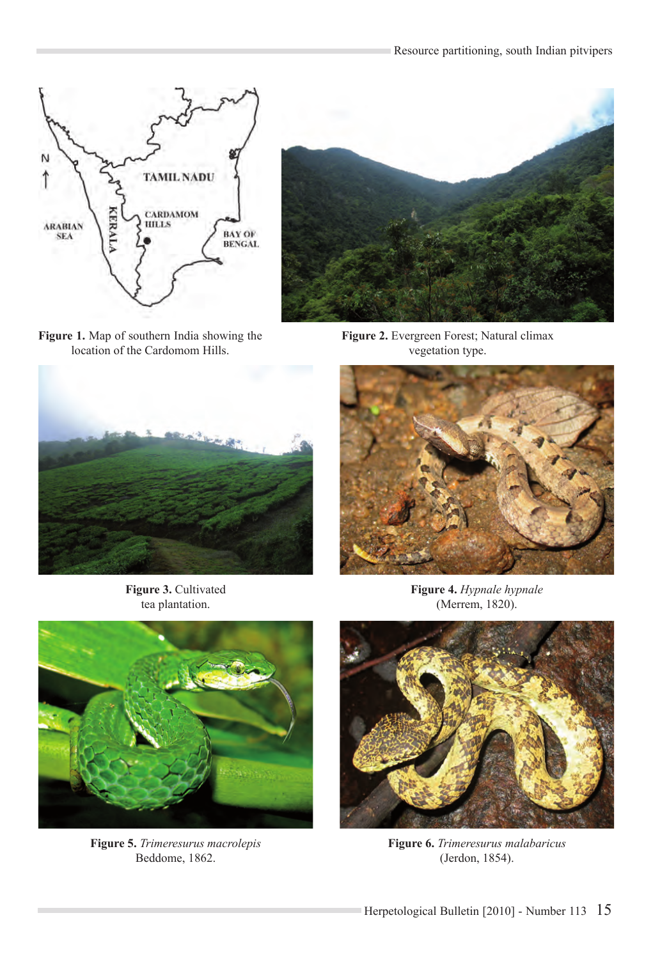

Figure 1. Map of southern India showing the location of the Cardomom Hills.



Figure 2. Evergreen Forest; Natural climax vegetation type.



**Figure 3.** Cultivated tea plantation.



**Figure 4.** *Hypnale hypnale* (Merrem, 1820).



**Figure 5.** *Trimeresurus macrolepis* Beddome, 1862.



**Figure 6.** *Trimeresurus malabaricus* (Jerdon, 1854).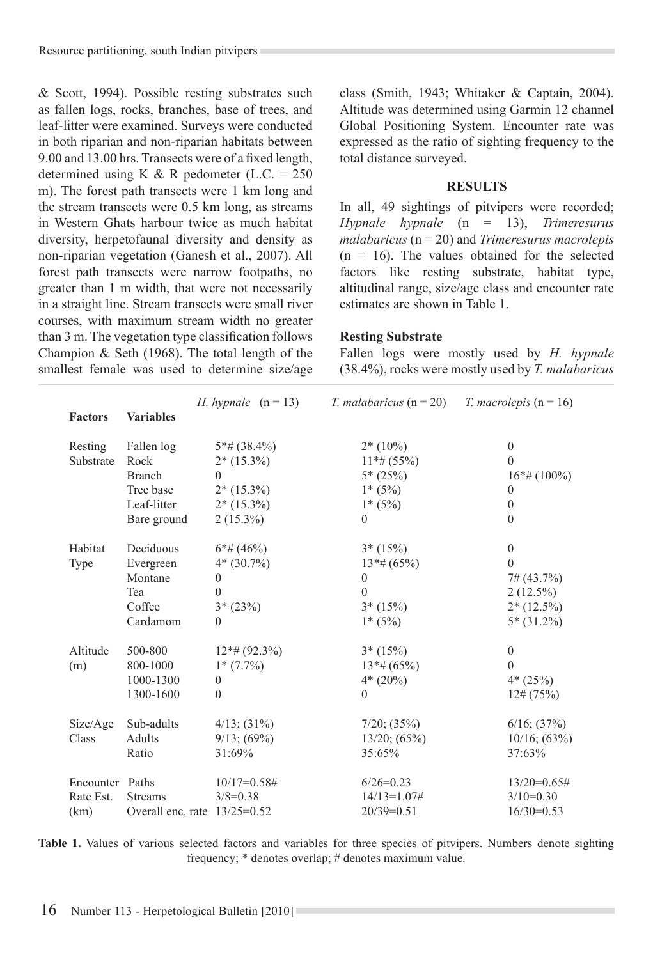& Scott, 1994). Possible resting substrates such as fallen logs, rocks, branches, base of trees, and leaf-litter were examined. Surveys were conducted in both riparian and non-riparian habitats between 9.00 and 13.00 hrs. Transects were of a fixed length, determined using K & R pedometer (L.C. =  $250$ ) m). The forest path transects were 1 km long and the stream transects were 0.5 km long, as streams in Western Ghats harbour twice as much habitat diversity, herpetofaunal diversity and density as non-riparian vegetation (Ganesh et al., 2007). All forest path transects were narrow footpaths, no greater than 1 m width, that were not necessarily in a straight line. Stream transects were small river courses, with maximum stream width no greater than 3 m. The vegetation type classification follows Champion & Seth (1968). The total length of the smallest female was used to determine size/age class (Smith, 1943; Whitaker & Captain, 2004). Altitude was determined using Garmin 12 channel Global Positioning System. Encounter rate was expressed as the ratio of sighting frequency to the total distance surveyed.

#### **RESULTS**

In all, 49 sightings of pityipers were recorded; *Hypnale hypnale* (n = 13), *Trimeresurus malabaricus* (n = 20) and *Trimeresurus macrolepis*  $(n = 16)$ . The values obtained for the selected factors like resting substrate, habitat type, altitudinal range, size/age class and encounter rate estimates are shown in Table 1.

#### **Resting Substrate**

Fallen logs were mostly used by *H. hypnale* (38.4%), rocks were mostly used by *T. malabaricus*

|                 |                                | <i>H.</i> hypnale $(n = 13)$ | <i>T. malabaricus</i> $(n = 20)$ | T. macrolepis $(n = 16)$ |
|-----------------|--------------------------------|------------------------------|----------------------------------|--------------------------|
| <b>Factors</b>  | <b>Variables</b>               |                              |                                  |                          |
| Resting         | Fallen log                     | $5*$ # (38.4%)               | $2*(10\%)$                       | $\boldsymbol{0}$         |
| Substrate       | Rock                           | $2*(15.3\%)$                 | $11*# (55\%)$                    | $\theta$                 |
|                 | <b>Branch</b>                  | $\theta$                     | $5*(25%)$                        | $16*$ # (100%)           |
|                 | Tree base                      | $2*(15.3\%)$                 | $1*(5%)$                         | $\boldsymbol{0}$         |
|                 | Leaf-litter                    | $2*(15.3\%)$                 | $1*(5%)$                         | $\boldsymbol{0}$         |
|                 | Bare ground                    | $2(15.3\%)$                  | $\theta$                         | $\theta$                 |
| Habitat         | Deciduous                      | $6*$ # (46%)                 | $3*(15%)$                        | $\boldsymbol{0}$         |
| Type            | Evergreen                      | $4*(30.7\%)$                 | $13*# (65%)$                     | $\theta$                 |
|                 | Montane                        | $\boldsymbol{0}$             | $\mathbf{0}$                     | $7\# (43.7\%)$           |
|                 | Tea                            | $\theta$                     | $\theta$                         | $2(12.5\%)$              |
|                 | Coffee                         | $3*(23%)$                    | $3*(15%)$                        | $2*(12.5\%)$             |
|                 | Cardamom                       | $\theta$                     | $1*(5%)$                         | $5*(31.2\%)$             |
| Altitude        | 500-800                        | $12*# (92.3%)$               | $3*(15%)$                        | $\boldsymbol{0}$         |
| (m)             | 800-1000                       | $1*(7.7\%)$                  | $13*# (65%)$                     | $\mathbf{0}$             |
|                 | 1000-1300                      | $\boldsymbol{0}$             | $4*(20%)$                        | $4*(25%)$                |
|                 | 1300-1600                      | $\mathbf{0}$                 | $\theta$                         | $12\# (75\%)$            |
| Size/Age        | Sub-adults                     | $4/13$ ; $(31\%)$            | $7/20$ ; $(35\%)$                | $6/16$ ; $(37%)$         |
| Class           | Adults                         | $9/13$ ; (69%)               | $13/20$ ; $(65\%)$               | $10/16$ ; $(63\%)$       |
|                 | Ratio                          | 31:69%                       | 35:65%                           | 37:63%                   |
| Encounter Paths |                                | $10/17=0.58#$                | $6/26=0.23$                      | $13/20=0.65#$            |
| Rate Est.       | <b>Streams</b>                 | $3/8 = 0.38$                 | $14/13=1.07#$                    | $3/10=0.30$              |
| (km)            | Overall enc. rate $13/25=0.52$ |                              | $20/39=0.51$                     | $16/30=0.53$             |

**Table 1.** Values of various selected factors and variables for three species of pityipers. Numbers denote sighting frequency;  $*$  denotes overlap;  $\#$  denotes maximum value.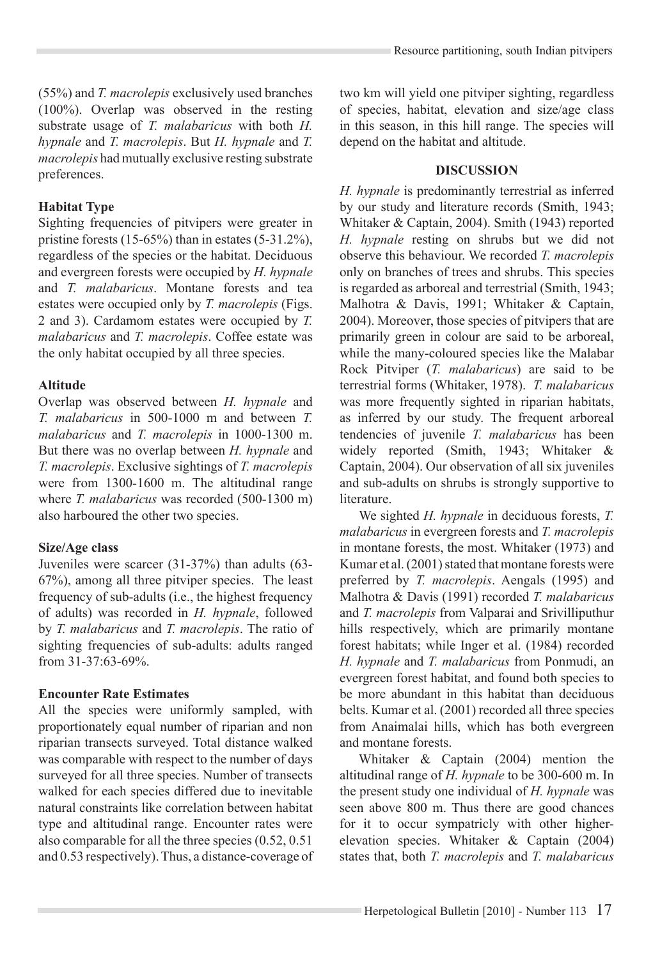(55%) and *T. macrolepis* exclusively used branches (100%). Overlap was observed in the resting substrate usage of *T. malabaricus* with both *H. hypnale* and *T. macrolepis*. But *H. hypnale* and *T. macrolepis* had mutually exclusive resting substrate preferences.

### **Habitat Type**

Sighting frequencies of pitvipers were greater in pristine forests  $(15-65\%)$  than in estates  $(5-31.2\%)$ , regardless of the species or the habitat. Deciduous and evergreen forests were occupied by *H. hypnale* and *T. malabaricus*. Montane forests and tea estates were occupied only by *T. macrolepis* (Figs. 2 and 3). Cardamom estates were occupied by *T. malabaricus* and *T. macrolepis*. Coffee estate was the only habitat occupied by all three species.

### **Altitude**

Overlap was observed between *H. hypnale* and *T. malabaricus* in 500-1000 m and between *T. malabaricus* and *T. macrolepis* in 1000*-*1300 m. But there was no overlap between *H. hypnale* and *T. macrolepis.* Exclusive sightings of *T. macrolepis* were from 1300-1600 m. The altitudinal range where *T. malabaricus* was recorded (500*-*1300 m) also harboured the other two species.

# **Size/Age class**

Juveniles were scarcer (31*-*37%) than adults (63*-* 67%), among all three pitviper species. The least  $f$  if requency of sub-adults (i.e., the highest frequency of adults) was recorded in *H. hypnale*, followed by *T. malabaricus* and *T. macrolepis*. The ratio of sighting frequencies of sub-adults: adults ranged  $from 31-37:63-69%$ 

# **Encounter Rate Estimates**

All the species were uniformly sampled, with proportionately equal number of riparian and non riparian transects surveyed. Total distance walked was comparable with respect to the number of days surveyed for all three species. Number of transects walked for each species differed due to inevitable natural constraints like correlation between habitat type and altitudinal range. Encounter rates were also comparable for all the three species  $(0.52, 0.51)$ and  $0.53$  respectively). Thus, a distance-coverage of two km will yield one pitviper sighting, regardless of species, habitat, elevation and size/age class in this season, in this hill range. The species will depend on the habitat and altitude.

### **DISCUSSION**

*H. hypnale* is predominantly terrestrial as inferred by our study and literature records (Smith, 1943; Whitaker & Captain, 2004). Smith (1943) reported *H. hypnale* resting on shrubs but we did not observe this behaviour. We recorded *T. macrolepis*  only on branches of trees and shrubs. This species is regarded as arboreal and terrestrial (Smith, 1943; Malhotra & Davis, 1991; Whitaker & Captain, 2004). Moreover, those species of pitvipers that are primarily green in colour are said to be arboreal, while the many-coloured species like the Malabar Rock Pitviper (*T. malabaricus*) are said to be terrestrial forms (Whitaker, 1978). T. malabaricus was more frequently sighted in riparian habitats. as inferred by our study. The frequent arboreal tendencies of juvenile *T. malabaricus* has been widely reported (Smith, 1943; Whitaker  $\&$ Captain, 2004). Our observation of all six juveniles and sub-adults on shrubs is strongly supportive to literature.

We sighted *H. hypnale* in deciduous forests, *T. malabaricus* in evergreen forests and *T. macrolepis* in montane forests, the most. Whitaker (1973) and Kumar et al. (2001) stated that montane forests were preferred by *T. macrolepis*. Aengals (1995) and Malhotra & Davis (1991) recorded *T. malabaricus* and *T. macrolepis* from Valparai and Srivilliputhur hills respectively, which are primarily montane forest habitats; while Inger et al. (1984) recorded *H. hypnale* and *T. malabaricus* from Ponmudi, an evergreen forest habitat, and found both species to be more abundant in this habitat than deciduous belts. Kumar et al. (2001) recorded all three species from Anaimalai hills, which has both evergreen and montane forests

Whitaker & Captain (2004) mention the altitudinal range of *H. hypnale* to be 300-600 m. In the present study one individual of  $H$ . hypnale was seen above 800 m. Thus there are good chances for it to occur sympatricly with other higherelevation species. Whitaker & Captain (2004) states that, both *T. macrolepis* and *T. malabaricus*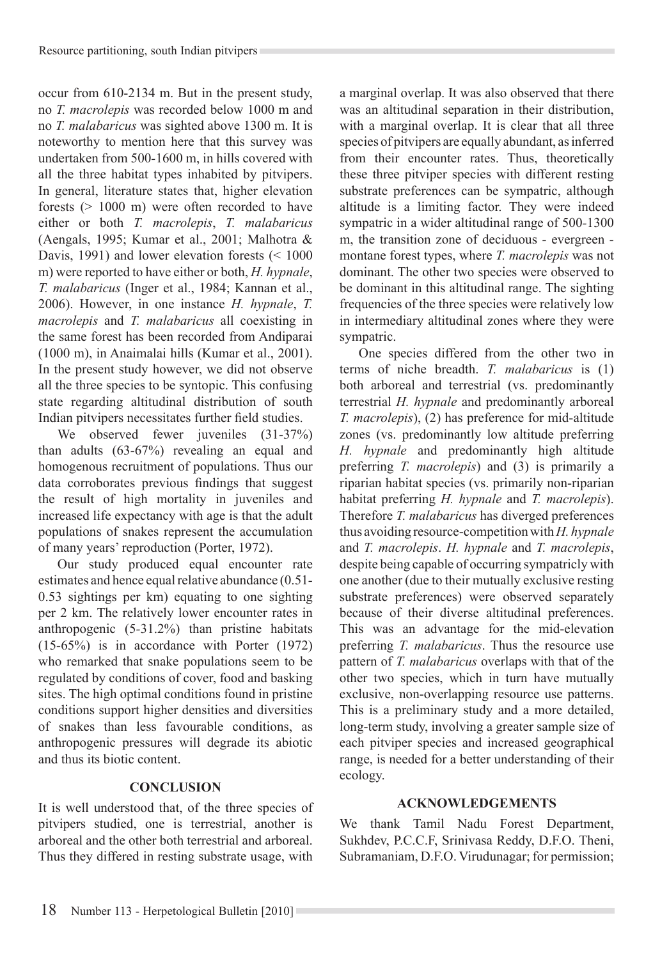occur from  $610-2134$  m. But in the present study, no *T. macrolepis* was recorded below 1000 m and no *T. malabaricus* was sighted above 1300 m. It is noteworthy to mention here that this survey was undertaken from 500-1600 m, in hills covered with all the three habitat types inhabited by pitvipers. In general, literature states that, higher elevation forests  $(> 1000 \text{ m})$  were often recorded to have either or both *T. macrolepis*, *T. malabaricus* (Aengals, 1995; Kumar et al., 2001; Malhotra  $\&$ Davis, 1991) and lower elevation forests  $(< 1000$ m) were reported to have either or both, *H. hypnale*, *T. malabaricus* (Inger et al., 1984; Kannan et al., 2006). However, in one instance *H. hypnale*, *T. macrolepis* and *T. malabaricus* all coexisting in the same forest has been recorded from Andiparai (1000 m), in Anaimalai hills (Kumar et al., 2001). In the present study however, we did not observe all the three species to be syntopic. This confusing state regarding altitudinal distribution of south Indian pitvipers necessitates further field studies.

We observed fewer juveniles (31-37%) than adults (63*-*67%) revealing an equal and homogenous recruitment of populations. Thus our data corroborates previous findings that suggest the result of high mortality in juveniles and increased life expectancy with age is that the adult populations of snakes represent the accumulation of many years' reproduction (Porter, 1972).

Our study produced equal encounter rate estimates and hence equal relative abundance (0.51*-* 0.53 sightings per km) equating to one sighting per 2 km. The relatively lower encounter rates in anthropogenic (5*-*31.2%) than pristine habitats (15*-*65%) is in accordance with Porter (1972) who remarked that snake populations seem to be regulated by conditions of cover, food and basking sites. The high optimal conditions found in pristine conditions support higher densities and diversities of snakes than less favourable conditions, as anthropogenic pressures will degrade its abiotic and thus its biotic content.

# **CONCLUSION**

It is well understood that, of the three species of pitvipers studied, one is terrestrial, another is arboreal and the other both terrestrial and arboreal. Thus they differed in resting substrate usage, with

a marginal overlap. It was also observed that there was an altitudinal separation in their distribution, with a marginal overlap. It is clear that all three species of pitvipers are equally abundant, as inferred from their encounter rates. Thus, theoretically these three pitviper species with different resting substrate preferences can be sympatric, although altitude is a limiting factor. They were indeed sympatric in a wider altitudinal range of 500-1300 m. the transition zone of deciduous - evergreen montane forest types, where *T. macrolepis* was not dominant. The other two species were observed to be dominant in this altitudinal range. The sighting frequencies of the three species were relatively low in intermediary altitudinal zones where they were sympatric.

One species differed from the other two in terms of niche breadth. *T. malabaricus* is (1) both arboreal and terrestrial (vs. predominantly terrestrial *H. hypnale* and predominantly arboreal *T. macrolepis*), (2) has preference for mid-altitude zones (vs. predominantly low altitude preferring *H. hypnale* and predominantly high altitude preferring *T. macrolepis*) and (3) is primarily a riparian habitat species (vs. primarily non-riparian habitat preferring *H. hypnale* and *T. macrolepis*). Therefore *T. malabaricus* has diverged preferences thus avoiding resource-competition with *H. hypnale* and *T. macrolepis*. *H. hypnale* and *T. macrolepis*, despite being capable of occurring sympatricly with one another (due to their mutually exclusive resting substrate preferences) were observed separately because of their diverse altitudinal preferences. This was an advantage for the mid-elevation preferring *T. malabaricus*. Thus the resource use pattern of *T. malabaricus* overlaps with that of the other two species, which in turn have mutually exclusive, non-overlapping resource use patterns. This is a preliminary study and a more detailed, long-term study, involving a greater sample size of each pitviper species and increased geographical range, is needed for a better understanding of their ecology.

#### **ACKNOWLEDGEMENTS**

We thank Tamil Nadu Forest Department, Sukhdev, P.C.C.F, Srinivasa Reddy, D.F.O. Theni, Subramaniam, D.F.O. Virudunagar; for permission;